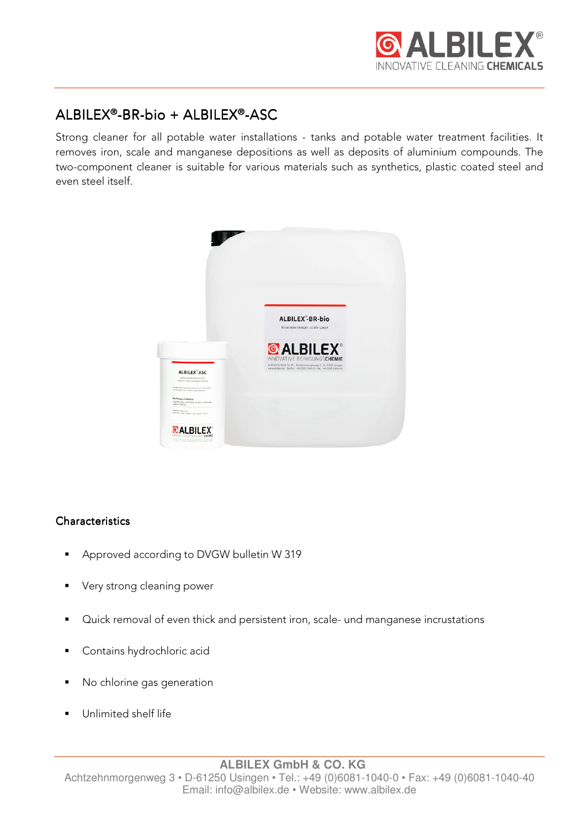

# $ALBILEX<sup>®</sup>-BR-bio + ALBILEX<sup>®</sup>-ASC$

Strong cleaner for all potable water installations - tanks and potable water treatment facilities. It removes iron, scale and manganese depositions as well as deposits of aluminium compounds. The two-component cleaner is suitable for various materials such as synthetics, plastic coated steel and even steel itself.



## **Characteristics**

- Approved according to DVGW bulletin W 319
- **very strong cleaning power**
- Quick removal of even thick and persistent iron, scale- und manganese incrustations
- **Contains hydrochloric acid**
- No chlorine gas generation
- **Unlimited shelf life**